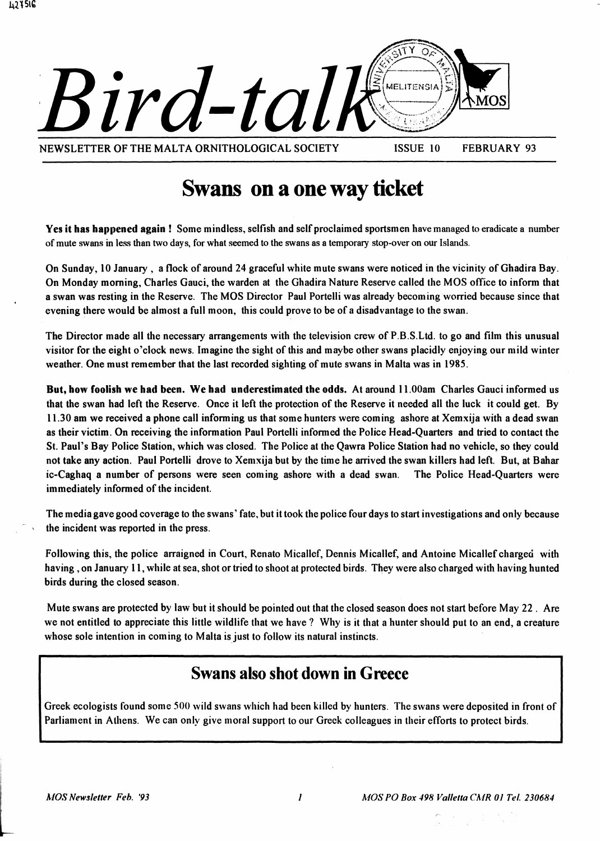

## Swans on a one way ticket

Yes it has happened again! Some mindless, selfish and self proclaimed sportsmen have managed to eradicate a number of mute swans in less than two days, for what seemed to the swans as a temporary stop-over on our Islands.

On Sunday. 10 January. a flock of around 24 graceful white mute swans were noticed in the vicinity of Ghadira Bay. On Monday morning. Charles Gauci. the warden at the Ghadira Nature Reserve called the MOS office to inform that a swan was resting in the Reserve. The MOS Director Paul Portelli was already becoming worried because since that evening there would be almost a full moon. this could prove to be of a disadvantage to the swan.

The Director made all the necessary arrangements with the television crew of P.B.S.Ltd. to go and film this unusual visitor for the eight o'clock news. Imagine the sight of this and maybe other swans placidly enjoying our mild winter weather. One must remember that the last recorded sighting of mute swans in Malta was in 1985.

But, how foolish we had been. We had underestimated the odds. At around 11.00am Charles Gauci informed us that the swan had left the Reserve. Once it left the protection of the Reserve it needed all the luck it could get. By 11.30 am we received a phone call informing us that some hunters were coming ashore at Xemxija with a dead swan as their victim. On receiving the information Paul Portelli informed the Police Head-Quarters and tried to contact the St. Paul's Bay Police Station, which was closed. The Police at the Qawra Police Station had no vehicle, so they could not take any action. Paul Portelli drove to Xemxija but by the time be arrived the swan killers had left. But. at Bahar ic-Caghaq a number of persons were seen coming ashore with a dead swan. The Police Head-Quarters were immediately informed of the incident.

The media gave good coverage to the swans' fate, but it took the police four days to start investigations and only because the incident was reported in the press.

Following this. the police arraigned in Court. Renato Micallef, Dennis Micallef, and Antoine Micallef charged with having. on January 11, while at sea, shot or tried to shoot at protected birds. They were also charged with having hunted birds during the closed season.

Mute swans are protected by law but it should be pointed out that the closed season does not start before May 22. Are we not entitled to appreciate this little wildlife that we have? Why is it that a hunter should put to an end, a creature whose sole intention in coming to Malta is just to follow its natural instincts.

### Swans also shot down in Greece

Greek ecologists found some 500 wild swans which had been killed by hunters. The swans were deposited in front of Parliament in Athens. We can only give moral support to our Greek colleagues in their efforts to protect birds.

l

4~lSlb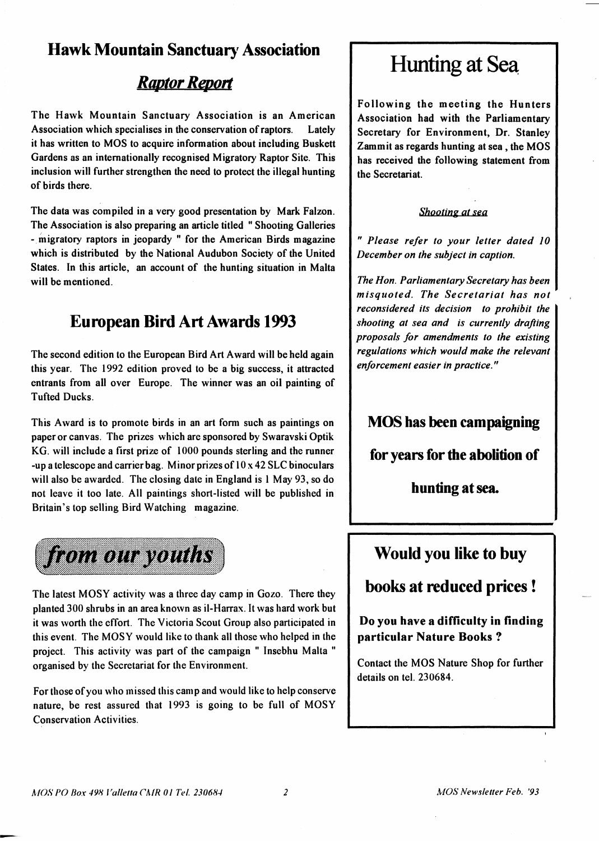### **Hawk Mountain Sanctuary Association**

### *Raplor Report*

The Hawk Mountain Sanctuary Association is an American Association which specialises in the conservation of raptors. Lately it has written to MOS to acquire information about including Buskett Gardens as an internationally recognised Migratory Raptor Site. This inclusion will further strengthen the need to protect the illegal hunting of birds there.

The data was compiled in a very good presentation by Mark Falzon. The Association is also preparing an article titled "Shooting Galleries - migratory raptors in jeopardy" for the American Birds magazine which is distributed by the National Audubon Society of the United States. In this article, an account of the hunting situation in Malta will be mentioned.

### **European Bird Art Awards 1993**

The second edition to the European Bird Art Award will be held again this year. The 1992 edition proved to be a big success, it attracted entrants from all over Europe. The winner was an oil painting of Tufted Ducks.

This Award is to promote birds in an art form such as paintings on paper or canvas. The prizes which are sponsored by Swaravski Optik KG. will include a first prize of 1000 pounds sterling and the runner -up a telescope and carrier bag. Minor prizes of  $10 \times 42$  SLC binoculars will also be awarded. The closing date in England is 1 May 93, so do not leave it too late. All paintings short-listed will be published in Britain's top selling Bird Watching magazine.



The latest MOSY activity was a three day camp in Gozo. There they planted 300 shrubs in an area known as il-Harrax. It was hard work but it was worth the effort. The Victoria Scout Group also participated in this event. The MOSY would like to thank all those who helped in the project. This activity was part of the campaign " Insebhu Malta " organised by the Secretariat for the Environment.

For those of you who missed this camp and would like to help conserve nature, be rest assured that 1993 is going to be full of MOSY Conservation Activities.

## **Hunting at Sea**

Following the meeting the Hunters Association had with the Parliamentary Secretary for Environment, Dr. Stanley Zammit as regards hunting at sea, the MOS has received the following statement from the Secretariat.

#### *Shooting at sea*

*" Please refer to your letter dated 10 December on the subject in caption.* 

*The Hon. Parliamentary Secretary has been misquoted. The Secretariat has not reconsidered its decision to prohibit the shooting at sea and is currently drafting proposals for amendments to the existing regulations which would make the relevant enforcement easier in practice."* 

### **MOS has been campaigning**

**for years for the abolition of** 

**hunting at sea.** 

## **Would you like to buy**

**books at reduced prices!** 

**Do you have a difficulty in finding particular Nature Books?** 

Contact the MOS Nature Shop for further details on tel. 230684.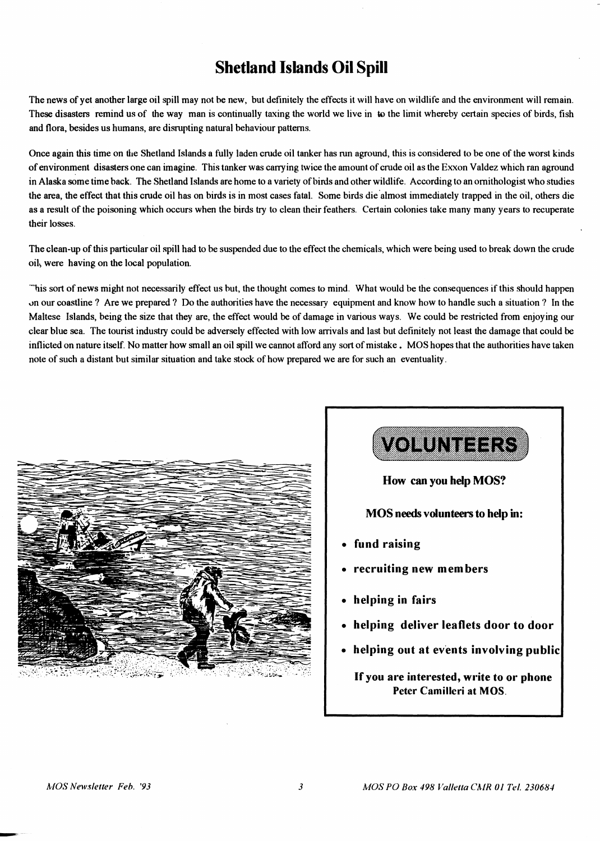### **Shetland Islands Oil Spill**

The news of yet another large oil spill may not be new, but definitely the effects it will have on wildlife and the environment will remain. These disasters remind us of the way man is continually taxing the world we live in to the limit whereby certain species of birds, fish and flora, besides us humans, are disrupting natural behaviour patterns.

Once again this time on the Shetland Islands a fully laden crude oil tanker has run aground, this is considered to be one of the worst kinds of environment disasters one can imagine. This tanker was carrying twice the amount of crude oil as the Exxon Valdez which ran aground in Alaska some time back. The Shetland Islands are home to a variety of birds and other wildlife. According to an ornithologist who studies the area, the effect that this crude oil has on birds is in most cases fatal. Some birds die almost immediately trapped in the oil, others die as a result of the poisoning which occurs when the birds try to clean their feathers. Certain colonies take many many years to recuperate their losses.

The clean-up of this particular oil spill had to be suspended due to the effect the chemicals, which were being used to break down the crude oih were having on the local population.

~uis sort of news might not necessarily effect us but, the thought comes to mind. What would be the consequences if this should happen "n our coastline? Are we prepared? Do the authorities have the necessary equipment and know how to handle such a situation? In the Maltese Islands, being the size that they are, the effect would be of damage in various ways. We could be restricted from enjoying our clear blue sea. The tourist industry could be adversely effected with low arrivals and last but definitely not least the damage that could be inflicted on nature itself. No matter how small an oil spill we cannot afford any sort of mistake. MOS hopes that the authorities have taken note of such a distant but similar situation and take stock of how prepared we are for such an eventuality.





~---